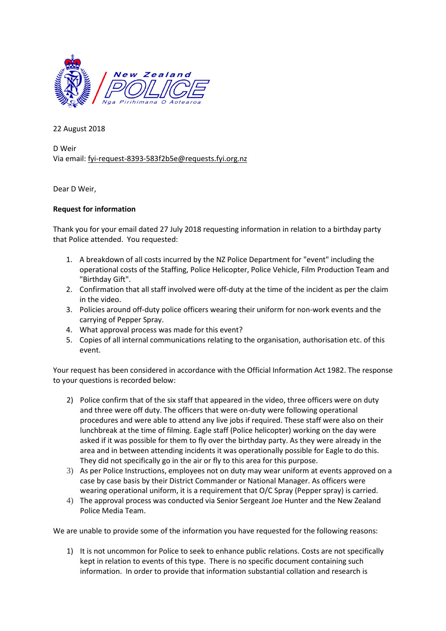

22 August 2018

D Weir Via email[: fyi-request-8393-583f2b5e@requests.fyi.org.nz](mailto:xxxxxxxxxxxxxxxxxxxxxxxxx@xxxxxxxx.xxx.xxx.xx)

Dear D Weir,

## **Request for information**

Thank you for your email dated 27 July 2018 requesting information in relation to a birthday party that Police attended. You requested:

- 1. A breakdown of all costs incurred by the NZ Police Department for "event" including the operational costs of the Staffing, Police Helicopter, Police Vehicle, Film Production Team and "Birthday Gift".
- 2. Confirmation that all staff involved were off-duty at the time of the incident as per the claim in the video.
- 3. Policies around off-duty police officers wearing their uniform for non-work events and the carrying of Pepper Spray.
- 4. What approval process was made for this event?
- 5. Copies of all internal communications relating to the organisation, authorisation etc. of this event.

Your request has been considered in accordance with the Official Information Act 1982. The response to your questions is recorded below:

- 2) Police confirm that of the six staff that appeared in the video, three officers were on duty and three were off duty. The officers that were on-duty were following operational procedures and were able to attend any live jobs if required. These staff were also on their lunchbreak at the time of filming. Eagle staff (Police helicopter) working on the day were asked if it was possible for them to fly over the birthday party. As they were already in the area and in between attending incidents it was operationally possible for Eagle to do this. They did not specifically go in the air or fly to this area for this purpose.
- 3) As per Police Instructions, employees not on duty may wear uniform at events approved on a case by case basis by their District Commander or National Manager. As officers were wearing operational uniform, it is a requirement that O/C Spray (Pepper spray) is carried.
- 4) The approval process was conducted via Senior Sergeant Joe Hunter and the New Zealand Police Media Team.

We are unable to provide some of the information you have requested for the following reasons:

1) It is not uncommon for Police to seek to enhance public relations. Costs are not specifically kept in relation to events of this type. There is no specific document containing such information. In order to provide that information substantial collation and research is